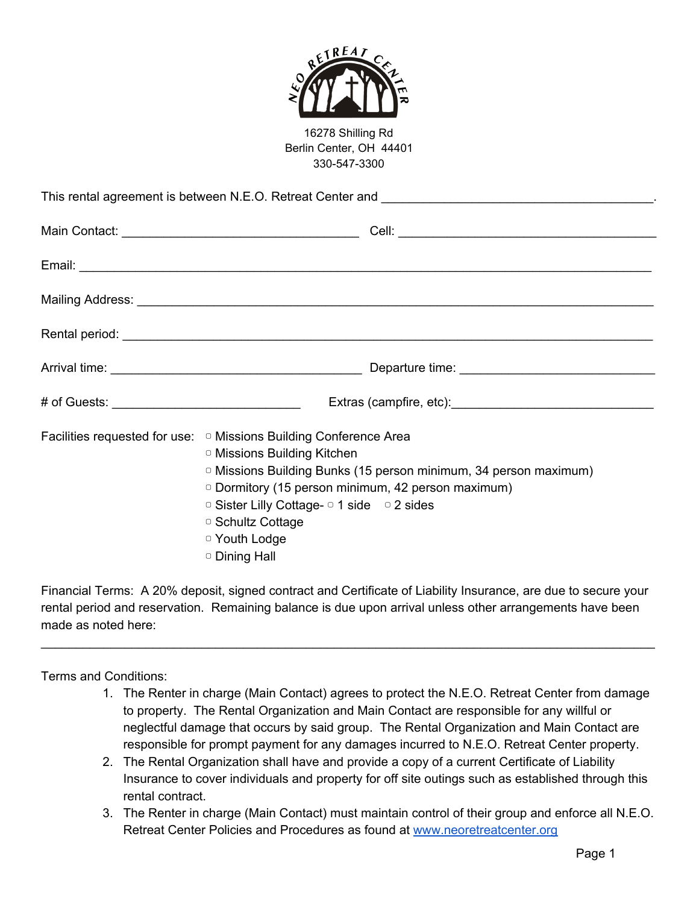

16278 Shilling Rd Berlin Center, OH 44401 330-547-3300

This rental agreement is between N.E.O. Retreat Center and \_\_\_\_\_\_\_\_\_\_\_\_\_\_\_\_\_\_\_\_\_\_ Main Contact: \_\_\_\_\_\_\_\_\_\_\_\_\_\_\_\_\_\_\_\_\_\_\_\_\_\_\_\_\_\_\_\_\_\_ Cell: \_\_\_\_\_\_\_\_\_\_\_\_\_\_\_\_\_\_\_\_\_\_\_\_\_\_\_\_\_\_\_\_\_\_\_\_\_ Email: \_\_\_\_\_\_\_\_\_\_\_\_\_\_\_\_\_\_\_\_\_\_\_\_\_\_\_\_\_\_\_\_\_\_\_\_\_\_\_\_\_\_\_\_\_\_\_\_\_\_\_\_\_\_\_\_\_\_\_\_\_\_\_\_\_\_\_\_\_\_\_\_\_\_\_\_\_\_\_\_\_\_ Mailing Address: **Wallet** Rental period:  $\blacksquare$ Arrival time: <u>and the set of the set of the set of the set of the set of the set of the set of the set of the set of the set of the set of the set of the set of the set of the set of the set of the set of the set of the s</u> # of Guests:  $\qquad \qquad$  Extras (campfire, etc): Facilities requested for use: □ Missions Building Conference Area ▢ Missions Building Kitchen ▢ Missions Building Bunks (15 person minimum, 34 person maximum) ▢ Dormitory (15 person minimum, 42 person maximum)

▢ Sister Lilly Cottage- ▢ 1 side ▢ 2 sides

▢ Schultz Cottage

▢ Youth Lodge

▢ Dining Hall

Financial Terms: A 20% deposit, signed contract and Certificate of Liability Insurance, are due to secure your rental period and reservation. Remaining balance is due upon arrival unless other arrangements have been made as noted here:

\_\_\_\_\_\_\_\_\_\_\_\_\_\_\_\_\_\_\_\_\_\_\_\_\_\_\_\_\_\_\_\_\_\_\_\_\_\_\_\_\_\_\_\_\_\_\_\_\_\_\_\_\_\_\_\_\_\_\_\_\_\_\_\_\_\_\_\_\_\_\_\_\_\_\_\_\_\_\_\_\_\_\_\_\_\_\_\_

Terms and Conditions:

- 1. The Renter in charge (Main Contact) agrees to protect the N.E.O. Retreat Center from damage to property. The Rental Organization and Main Contact are responsible for any willful or neglectful damage that occurs by said group. The Rental Organization and Main Contact are responsible for prompt payment for any damages incurred to N.E.O. Retreat Center property.
- 2. The Rental Organization shall have and provide a copy of a current Certificate of Liability Insurance to cover individuals and property for off site outings such as established through this rental contract.
- 3. The Renter in charge (Main Contact) must maintain control of their group and enforce all N.E.O. Retreat Center Policies and Procedures as found at [www.neoretreatcenter.org](http://www.neoretreatcenter.org/)